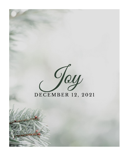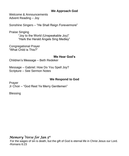### **We Approach God**

Welcome & Announcements Advent Reading – Joy

Sonshine Singers – "He Shall Reign Forevermore"

Praise Singing "Joy to the World (Unspeakable Joy)" "Hark the Herald Angels Sing Medley"

Congregational Prayer "What Child is This?"

#### **We Hear God's**

Children's Message – Beth Redeker

Message – Gabriel: How Do You Spell Joy? Scripture – See Sermon Notes

#### **We Respond to God**

Prayer Jr Choir – "God Rest Ye Merry Gentlemen"

**Blessing** 

# *Memory Verse for Jan 5th*

For the wages of sin is death, but the gift of God is eternal life in Christ Jesus our Lord. -Romans 6:23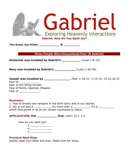

**The Great Joy-Killer: \_\_\_\_\_\_\_\_\_\_\_ & \_\_\_\_\_\_\_\_\_**

**Three People Who Encountered Fear (& Gabriel)**

**Zechariah was troubled by Gabriel's \_\_\_\_\_\_\_\_\_\_.** (Luke 1:8-13)

**Mary was troubled by Gabriel's \_\_\_\_\_\_\_\_\_\_\_.** (Luke 1:26-30)

|                                  | . (Mat. 1:18-21, 2:13-14, 19-21,22-3) |
|----------------------------------|---------------------------------------|
| Fear of                          |                                       |
| Fear of son being murder         |                                       |
| Fear of family rejection (Maybe) |                                       |
| Fear of                          |                                       |

#### **Summary**:

1. Fear & anxiety are rampant in the birth story and in our stories. 2. Joy is not just a \_\_\_\_\_\_\_\_\_\_, it's more than a \_\_\_\_\_\_\_\_\_\_, it's a \_\_\_\_\_\_\_\_\_\_\_ which God grows in us as we remain connected to Jesus.

**APPLICATION: Put \_\_\_\_\_\_\_\_\_\_\_ first.** (John 15:1-11)

| How do you spell joy? |  |
|-----------------------|--|
|                       |  |
| ი                     |  |
|                       |  |

#### **Practical Next Step:**

Quietly read your Bible and pray. Make time for Jesus.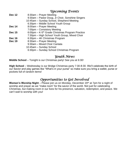## *Upcoming Events*

- **Dec 12** 8:30am Prayer Meeting
	- 9:30am Pastor Doug, Jr Choir, Sonshine Singers
	- 10:45am Sunday School, Shepherd Meeting
	- 6:30pm Middle School Youth Group
- **Dec 14** 8:00am Prayer Meeting
- 7:00pm Consistory Meeting
- **Dec 15** 6:00pm K-5<sup>th</sup> Grade Christmas Program Practice
- 7:30pm High School Youth Group, Mixed Choir
- **Dec 16** 6:30pm 4K Christmas Program<br> **Dec 19** 8:30am Praver Meeting
- **Dec 19** 8:30am Prayer Meeting
	- 9:30am Mixed Choir Cantata
	- 10:45am Sunday School
	- 6:30pm Sunday School Christmas Program

## *Youth News*

**Middle School** – Tonight is our Christmas party! See you at 6:30!

**High School** – Wednesday is our Bridge Christmas party 7:30-8:30. We'll celebrate the birth of our Savior and play games like "What's in your purse" so make sure you bring a wallet, purse or pockets full of random items!

## *Opportunities to Get Involved*

**Women's Worship Night** – Please join us on Monday, December 20<sup>th</sup> at 7pm for a night of worship and prayer as we "make room" for the savior of the world. Not just for celebrating Christmas, but making room in our lives for his presence, salvation, redemption, and peace. We can't wait to worship with you!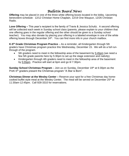## *Bulletin Board News*

**Offering** may be placed in one of the three white offering boxes located in the lobby. Upcoming benevolent schedule: 12/12 Christian Home Chaplain, 12/19 One Waupun, 12/26 Christian Radio.

**Love Offering –** This year's recipient is the family of Travis & Jessica Schultz. A second offering will be collected each week in Sunday school class (parents, please explain to your children that one offering goes in the regular offering and the other should be given to a Sunday school teacher). You may also donate by placing your offering in a labeled envelope in one of the white offering boxes through December 24<sup>th</sup>. You can find more info in your church mailbox.

**K-5 th Grade Christmas Program Practice** – As a reminder, all Kindergarten through 5th graders have Christmas program practice this Wednesday, December 15. We will do a full runthrough of the program.

- 5th graders need to meet in the fellowship area of the basement by 5:45pm (we need a few 5th grade parents here by 5:30pm to set up the stage extension and nativity).
- Kindergarten through 4th graders need to meet in the fellowship area of the basement by 5:55pm. Practice will start at 6pm and go til 7:30pm.

**Sunday School Christmas Program** – Join us on Sunday, December 19<sup>th</sup> at 6:30pm as the PreK-5<sup>th</sup> graders present the Christmas program "A Star is Born".

**Christmas Dinner at the Wesley Center –** Reserve your spot for a free Christmas day homecooked buffet style meal at the Wesley Center. The meal will be served on December 25<sup>th</sup> at 11:30am-12:45pm. Call 928-3310 for reservations.